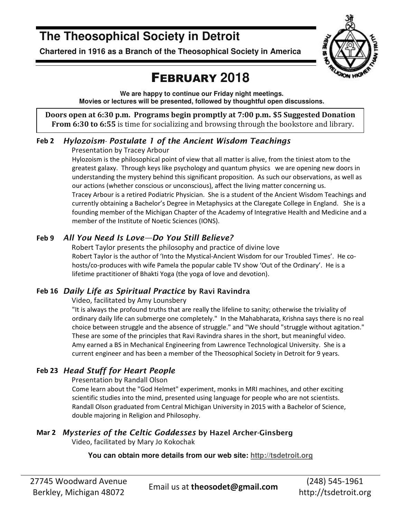## **The Theosophical Society in Detroit**

**Chartered in 1916 as a Branch of the Theosophical Society in America** 



## FEBRUARY **2018**

**We are happy to continue our Friday night meetings. Movies or lectures will be presented, followed by thoughtful open discussions.** 

**Doors open at 6:30 p.m. Programs begin promptly at 7:00 p.m. \$5 Suggested Donation From 6:30 to 6:55** is time for socializing and browsing through the bookstore and library.

### **Feb 2** *Hylozoism- Postulate 1 of the Ancient Wisdom Teachings*

Presentation by Tracey Arbour

Hylozoism is the philosophical point of view that all matter is alive, from the tiniest atom to the greatest galaxy. Through keys like psychology and quantum physics we are opening new doors in understanding the mystery behind this significant proposition. As such our observations, as well as our actions (whether conscious or unconscious), affect the living matter concerning us. Tracey Arbour is a retired Podiatric Physician. She is a student of the Ancient Wisdom Teachings and currently obtaining a Bachelor's Degree in Metaphysics at the Claregate College in England. She is a founding member of the Michigan Chapter of the Academy of Integrative Health and Medicine and a member of the Institute of Noetic Sciences (IONS).

### **Feb 9** *All You Need Is Love—Do You Still Believe?*

Robert Taylor presents the philosophy and practice of divine love Robert Taylor is the author of 'Into the Mystical-Ancient Wisdom for our Troubled Times'. He cohosts/co-produces with wife Pamela the popular cable TV show 'Out of the Ordinary'. He is a lifetime practitioner of Bhakti Yoga (the yoga of love and devotion).

### **Feb 16** *Daily Life as Spiritual Practice* **by Ravi Ravindra**

Video, facilitated by Amy Lounsbery

"It is always the profound truths that are really the lifeline to sanity; otherwise the triviality of ordinary daily life can submerge one completely." In the Mahabharata, Krishna says there is no real choice between struggle and the absence of struggle." and "We should "struggle without agitation." These are some of the principles that Ravi Ravindra shares in the short, but meaningful video. Amy earned a BS in Mechanical Engineering from Lawrence Technological University. She is a current engineer and has been a member of the Theosophical Society in Detroit for 9 years.

### **Feb 23** *Head Stuff for Heart People*

Presentation by Randall Olson

Come learn about the "God Helmet" experiment, monks in MRI machines, and other exciting scientific studies into the mind, presented using language for people who are not scientists. Randall Olson graduated from Central Michigan University in 2015 with a Bachelor of Science, double majoring in Religion and Philosophy.

### **Mar 2** *Mysteries of the Celtic Goddesses* **by Hazel Archer-Ginsberg**

Video, facilitated by Mary Jo Kokochak

### **You can obtain more details from our web site: http://tsdetroit.org**